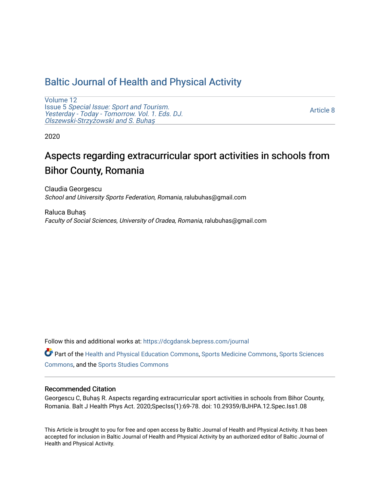# [Baltic Journal of Health and Physical Activity](https://dcgdansk.bepress.com/journal)

[Volume 12](https://dcgdansk.bepress.com/journal/vol12) Issue 5 [Special Issue: Sport and Tourism.](https://dcgdansk.bepress.com/journal/vol12/iss5)  [Yesterday - Today - Tomorrow. Vol. 1. Eds. DJ.](https://dcgdansk.bepress.com/journal/vol12/iss5)  [Olszewski-Strzy](https://dcgdansk.bepress.com/journal/vol12/iss5)żowski and S. Buhaş

[Article 8](https://dcgdansk.bepress.com/journal/vol12/iss5/8) 

2020

# Aspects regarding extracurricular sport activities in schools from Bihor County, Romania

Claudia Georgescu School and University Sports Federation, Romania, ralubuhas@gmail.com

Raluca Buhaș Faculty of Social Sciences, University of Oradea, Romania, ralubuhas@gmail.com

Follow this and additional works at: [https://dcgdansk.bepress.com/journal](https://dcgdansk.bepress.com/journal?utm_source=dcgdansk.bepress.com%2Fjournal%2Fvol12%2Fiss5%2F8&utm_medium=PDF&utm_campaign=PDFCoverPages)

Part of the [Health and Physical Education Commons](http://network.bepress.com/hgg/discipline/1327?utm_source=dcgdansk.bepress.com%2Fjournal%2Fvol12%2Fiss5%2F8&utm_medium=PDF&utm_campaign=PDFCoverPages), [Sports Medicine Commons,](http://network.bepress.com/hgg/discipline/1331?utm_source=dcgdansk.bepress.com%2Fjournal%2Fvol12%2Fiss5%2F8&utm_medium=PDF&utm_campaign=PDFCoverPages) [Sports Sciences](http://network.bepress.com/hgg/discipline/759?utm_source=dcgdansk.bepress.com%2Fjournal%2Fvol12%2Fiss5%2F8&utm_medium=PDF&utm_campaign=PDFCoverPages) [Commons](http://network.bepress.com/hgg/discipline/759?utm_source=dcgdansk.bepress.com%2Fjournal%2Fvol12%2Fiss5%2F8&utm_medium=PDF&utm_campaign=PDFCoverPages), and the [Sports Studies Commons](http://network.bepress.com/hgg/discipline/1198?utm_source=dcgdansk.bepress.com%2Fjournal%2Fvol12%2Fiss5%2F8&utm_medium=PDF&utm_campaign=PDFCoverPages) 

#### Recommended Citation

Georgescu C, Buhaș R. Aspects regarding extracurricular sport activities in schools from Bihor County, Romania. Balt J Health Phys Act. 2020;SpecIss(1):69-78. doi: 10.29359/BJHPA.12.Spec.Iss1.08

This Article is brought to you for free and open access by Baltic Journal of Health and Physical Activity. It has been accepted for inclusion in Baltic Journal of Health and Physical Activity by an authorized editor of Baltic Journal of Health and Physical Activity.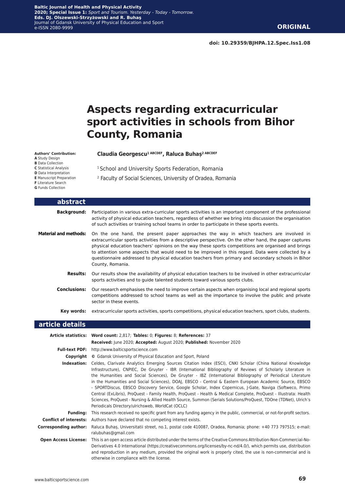**doi: 10.29359/BJHPA.12.Spec.Iss1.08**

# **Aspects regarding extracurricular sport activities in schools from Bihor County, Romania**

#### **Authors' Contribution:**

- **A** Study Design
- **B** Data Collection
- **C** Statistical Analysis **D** Data Interpretation
- **E** Manuscript Preparation
- **F** Literature Search
- **G** Funds Collection
- <sup>1</sup> School and University Sports Federation, Romania

**Claudia Georgescu1 ABCDEF, Raluca Buhaș2 ABCDEF**

2 Faculty of Social Sciences, University of Oradea, Romania

| abstract                     |                                                                                                                                                                                                                                                                                                                                                                                                                                                                                                                                          |
|------------------------------|------------------------------------------------------------------------------------------------------------------------------------------------------------------------------------------------------------------------------------------------------------------------------------------------------------------------------------------------------------------------------------------------------------------------------------------------------------------------------------------------------------------------------------------|
| <b>Background:</b>           | Participation in various extra-curricular sports activities is an important component of the professional<br>activity of physical education teachers, regardless of whether we bring into discussion the organisation<br>of such activities or training school teams in order to participate in these sports events.                                                                                                                                                                                                                     |
| <b>Material and methods:</b> | On the one hand, the present paper approaches the way in which teachers are involved in<br>extracurricular sports activities from a descriptive perspective. On the other hand, the paper captures<br>physical education teachers' opinions on the way these sports competitions are organised and brings<br>to attention some aspects that would need to be improved in this regard. Data were collected by a<br>questionnaire addressed to physical education teachers from primary and secondary schools in Bihor<br>County, Romania. |
| <b>Results:</b>              | Our results show the availability of physical education teachers to be involved in other extracurricular<br>sports activities and to guide talented students toward various sports clubs.                                                                                                                                                                                                                                                                                                                                                |
| <b>Conclusions:</b>          | Our research emphasises the need to improve certain aspects when organising local and regional sports<br>competitions addressed to school teams as well as the importance to involve the public and private<br>sector in these events.                                                                                                                                                                                                                                                                                                   |
| Kev words:                   | extracurricular sports activities, sports competitions, physical education teachers, sport clubs, students.                                                                                                                                                                                                                                                                                                                                                                                                                              |
| article details              |                                                                                                                                                                                                                                                                                                                                                                                                                                                                                                                                          |
|                              | Article statistics: Word count: 2,817; Tables: 0; Figures: 8; References: 37<br>Received: June 2020; Accepted: August 2020; Published: November 2020                                                                                                                                                                                                                                                                                                                                                                                     |
| <b>Full-text PDF:</b>        | http://www.balticsportscience.com                                                                                                                                                                                                                                                                                                                                                                                                                                                                                                        |
|                              | <b>Copyright</b> © Gdansk University of Physical Education and Sport, Poland                                                                                                                                                                                                                                                                                                                                                                                                                                                             |

**Indexation:** Celdes, Clarivate Analytics Emerging Sources Citation Index (ESCI), CNKI Scholar (China National Knowledge Infrastructure), CNPIEC, De Gruyter - IBR (International Bibliography of Reviews of Scholarly Literature in the Humanities and Social Sciences), De Gruyter - IBZ (International Bibliography of Periodical Literature in the Humanities and Social Sciences), DOAJ, EBSCO - Central & Eastern European Academic Source, EBSCO - SPORTDiscus, EBSCO Discovery Service, Google Scholar, Index Copernicus, J-Gate, Naviga (Softweco, Primo Central (ExLibris), ProQuest - Family Health, ProQuest - Health & Medical Complete, ProQuest - Illustrata: Health Sciences, ProQuest - Nursing & Allied Health Source, Summon (Serials Solutions/ProQuest, TDOne (TDNet), Ulrich's Periodicals Directory/ulrichsweb, WorldCat (OCLC) **Funding:** This research received no specific grant from any funding agency in the public, commercial, or not-for-profit sectors. **Conflict of interests:** Authors have declared that no competing interest exists.

**Corresponding author:** Raluca Buhaș, Universitatii street, no.1, postal code 410087, Oradea, Romania; phone: +40 773 797515; e-mail: ralubuhas@gmail.com **Open Access License:** This is an open access article distributed under the terms of the Creative Commons Attribution-Non-Commercial-No-

Derivatives 4.0 International (https://creativecommons.org/licenses/by-nc-nd/4.0/), which permits use, distribution and reproduction in any medium, provided the original work is properly cited, the use is non-commercial and is otherwise in compliance with the license.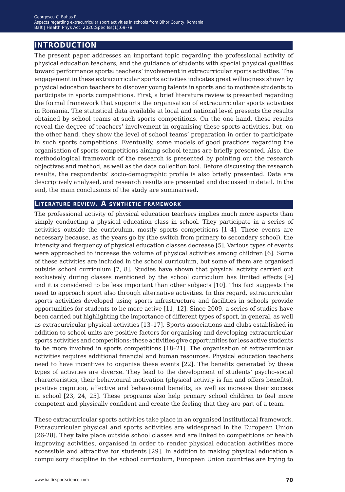# **introduction**

The present paper addresses an important topic regarding the professional activity of physical education teachers, and the guidance of students with special physical qualities toward performance sports: teachers' involvement in extracurricular sports activities. The engagement in these extracurricular sports activities indicates great willingness shown by physical education teachers to discover young talents in sports and to motivate students to participate in sports competitions. First, a brief literature review is presented regarding the formal framework that supports the organisation of extracurricular sports activities in Romania. The statistical data available at local and national level presents the results obtained by school teams at such sports competitions. On the one hand, these results reveal the degree of teachers' involvement in organising these sports activities, but, on the other hand, they show the level of school teams' preparation in order to participate in such sports competitions. Eventually, some models of good practices regarding the organisation of sports competitions aiming school teams are briefly presented. Also, the methodological framework of the research is presented by pointing out the research objectives and method, as well as the data collection tool. Before discussing the research results, the respondents' socio-demographic profile is also briefly presented. Data are descriptively analysed, and research results are presented and discussed in detail. In the end, the main conclusions of the study are summarised.

### **Literature review. A synthetic framework**

The professional activity of physical education teachers implies much more aspects than simply conducting a physical education class in school. They participate in a series of activities outside the curriculum, mostly sports competitions [1–4]. These events are necessary because, as the years go by (the switch from primary to secondary school), the intensity and frequency of physical education classes decrease [5]. Various types of events were approached to increase the volume of physical activities among children [6]. Some of these activities are included in the school curriculum, but some of them are organised outside school curriculum [7, 8]. Studies have shown that physical activity carried out exclusively during classes mentioned by the school curriculum has limited effects [9] and it is considered to be less important than other subjects [10]. This fact suggests the need to approach sport also through alternative activities. In this regard, extracurricular sports activities developed using sports infrastructure and facilities in schools provide opportunities for students to be more active [11, 12]. Since 2009, a series of studies have been carried out highlighting the importance of different types of sport, in general, as well as extracurricular physical activities [13–17]. Sports associations and clubs established in addition to school units are positive factors for organising and developing extracurricular sports activities and competitions; these activities give opportunities for less active students to be more involved in sports competitions [18–21]. The organisation of extracurricular activities requires additional financial and human resources. Physical education teachers need to have incentives to organise these events [22]. The benefits generated by these types of activities are diverse. They lead to the development of students' psycho-social characteristics, their behavioural motivation (physical activity is fun and offers benefits), positive cognition, affective and behavioural benefits, as well as increase their success in school [23, 24, 25]. These programs also help primary school children to feel more competent and physically confident and create the feeling that they are part of a team.

These extracurricular sports activities take place in an organised institutional framework. Extracurricular physical and sports activities are widespread in the European Union [26-28]. They take place outside school classes and are linked to competitions or health improving activities, organised in order to render physical education activities more accessible and attractive for students [29]. In addition to making physical education a compulsory discipline in the school curriculum, European Union countries are trying to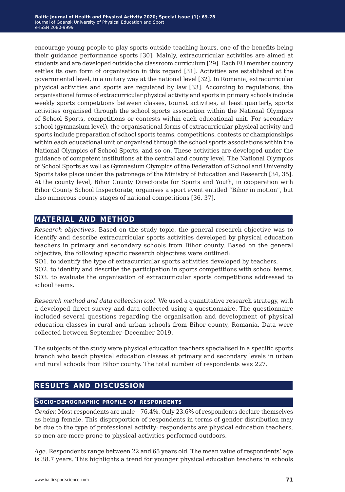encourage young people to play sports outside teaching hours, one of the benefits being their guidance performance sports [30]. Mainly, extracurricular activities are aimed at students and are developed outside the classroom curriculum [29]. Each EU member country settles its own form of organisation in this regard [31]. Activities are established at the governmental level, in a unitary way at the national level [32]. In Romania, extracurricular physical activities and sports are regulated by law [33]. According to regulations, the organisational forms of extracurricular physical activity and sports in primary schools include weekly sports competitions between classes, tourist activities, at least quarterly, sports activities organised through the school sports association within the National Olympics of School Sports, competitions or contests within each educational unit. For secondary school (gymnasium level), the organisational forms of extracurricular physical activity and sports include preparation of school sports teams, competitions, contests or championships within each educational unit or organised through the school sports associations within the National Olympics of School Sports, and so on. These activities are developed under the guidance of competent institutions at the central and county level. The National Olympics of School Sports as well as Gymnasium Olympics of the Federation of School and University Sports take place under the patronage of the Ministry of Education and Research [34, 35]. At the county level, Bihor County Directorate for Sports and Youth, in cooperation with Bihor County School Inspectorate, organises a sport event entitled "Bihor in motion", but also numerous county stages of national competitions [36, 37].

## **material and method**

*Research objectives.* Based on the study topic, the general research objective was to identify and describe extracurricular sports activities developed by physical education teachers in primary and secondary schools from Bihor county. Based on the general objective, the following specific research objectives were outlined:

SO1. to identify the type of extracurricular sports activities developed by teachers,

SO2. to identify and describe the participation in sports competitions with school teams, SO3. to evaluate the organisation of extracurricular sports competitions addressed to school teams.

*Research method and data collection tool.* We used a quantitative research strategy, with a developed direct survey and data collected using a questionnaire. The questionnaire included several questions regarding the organisation and development of physical education classes in rural and urban schools from Bihor county, Romania. Data were collected between September–December 2019.

The subjects of the study were physical education teachers specialised in a specific sports branch who teach physical education classes at primary and secondary levels in urban and rural schools from Bihor county. The total number of respondents was 227.

# **results and discussion**

## **Socio-demographic profile of respondents**

*Gender.* Most respondents are male – 76.4%. Only 23.6% of respondents declare themselves as being female. This disproportion of respondents in terms of gender distribution may be due to the type of professional activity: respondents are physical education teachers, so men are more prone to physical activities performed outdoors.

*Age.* Respondents range between 22 and 65 years old. The mean value of respondents' age is 38.7 years. This highlights a trend for younger physical education teachers in schools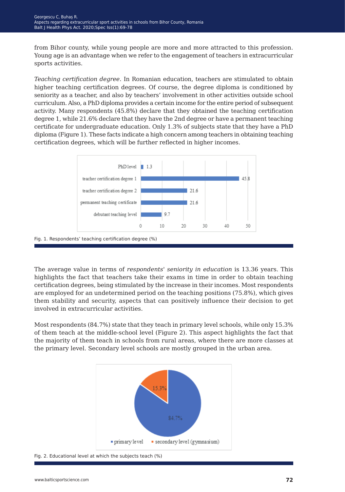from Bihor county, while young people are more and more attracted to this profession. Young age is an advantage when we refer to the engagement of teachers in extracurricular sports activities.

*Teaching certification degree.* In Romanian education, teachers are stimulated to obtain higher teaching certification degrees. Of course, the degree diploma is conditioned by seniority as a teacher, and also by teachers' involvement in other activities outside school curriculum. Also, a PhD diploma provides a certain income for the entire period of subsequent activity. Many respondents (45.8%) declare that they obtained the teaching certification degree 1, while 21.6% declare that they have the 2nd degree or have a permanent teaching certificate for undergraduate education. Only 1.3% of subjects state that they have a PhD diploma (Figure 1). These facts indicate a high concern among teachers in obtaining teaching certification degrees, which will be further reflected in higher incomes.



The average value in terms of *respondents' seniority in education* is 13.36 years. This highlights the fact that teachers take their exams in time in order to obtain teaching certification degrees, being stimulated by the increase in their incomes. Most respondents are employed for an undetermined period on the teaching positions (75.8%), which gives them stability and security, aspects that can positively influence their decision to get involved in extracurricular activities.

Most respondents (84.7%) state that they teach in primary level schools, while only 15.3% of them teach at the middle-school level (Figure 2). This aspect highlights the fact that the majority of them teach in schools from rural areas, where there are more classes at the primary level. Secondary level schools are mostly grouped in the urban area.



Fig. 2. Educational level at which the subjects teach (%)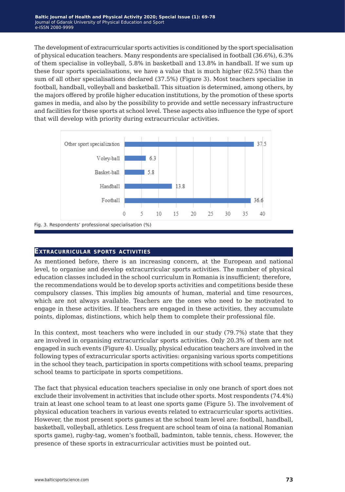The development of extracurricular sports activities is conditioned by the sport specialisation of physical education teachers. Many respondents are specialised in football (36.6%), 6.3% of them specialise in volleyball, 5.8% in basketball and 13.8% in handball. If we sum up these four sports specialisations, we have a value that is much higher (62.5%) than the sum of all other specialisations declared (37.5%) (Figure 3). Most teachers specialise in football, handball, volleyball and basketball. This situation is determined, among others, by the majors offered by profile higher education institutions, by the promotion of these sports games in media, and also by the possibility to provide and settle necessary infrastructure and facilities for these sports at school level. These aspects also influence the type of sport that will develop with priority during extracurricular activities.



#### **Extracurricular sports activities**

As mentioned before, there is an increasing concern, at the European and national level, to organise and develop extracurricular sports activities. The number of physical education classes included in the school curriculum in Romania is insufficient; therefore, the recommendations would be to develop sports activities and competitions beside these compulsory classes. This implies big amounts of human, material and time resources, which are not always available. Teachers are the ones who need to be motivated to engage in these activities. If teachers are engaged in these activities, they accumulate points, diplomas, distinctions, which help them to complete their professional file.

In this context, most teachers who were included in our study (79.7%) state that they are involved in organising extracurricular sports activities. Only 20.3% of them are not engaged in such events (Figure 4). Usually, physical education teachers are involved in the following types of extracurricular sports activities: organising various sports competitions in the school they teach, participation in sports competitions with school teams, preparing school teams to participate in sports competitions.

The fact that physical education teachers specialise in only one branch of sport does not exclude their involvement in activities that include other sports. Most respondents (74.4%) train at least one school team to at least one sports game (Figure 5). The involvement of physical education teachers in various events related to extracurricular sports activities. However, the most present sports games at the school team level are: football, handball, basketball, volleyball, athletics. Less frequent are school team of oina (a national Romanian sports game), rugby-tag, women's football, badminton, table tennis, chess. However, the presence of these sports in extracurricular activities must be pointed out.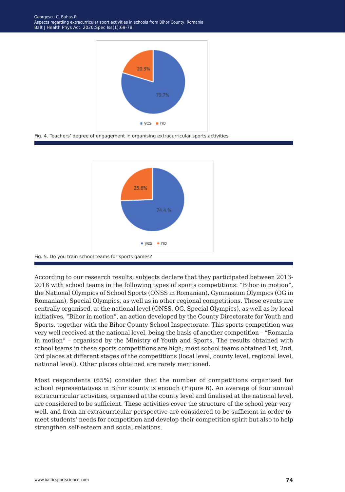

Fig. 4. Teachers' degree of engagement in organising extracurricular sports activities





According to our research results, subjects declare that they participated between 2013- 2018 with school teams in the following types of sports competitions: "Bihor in motion", the National Olympics of School Sports (ONSS in Romanian), Gymnasium Olympics (OG in Romanian), Special Olympics, as well as in other regional competitions. These events are centrally organised, at the national level (ONSS, OG, Special Olympics), as well as by local initiatives, "Bihor in motion", an action developed by the County Directorate for Youth and Sports, together with the Bihor County School Inspectorate. This sports competition was very well received at the national level, being the basis of another competition – "Romania in motion" – organised by the Ministry of Youth and Sports. The results obtained with school teams in these sports competitions are high; most school teams obtained 1st, 2nd, 3rd places at different stages of the competitions (local level, county level, regional level, national level). Other places obtained are rarely mentioned.

Most respondents (65%) consider that the number of competitions organised for school representatives in Bihor county is enough (Figure 6). An average of four annual extracurricular activities, organised at the county level and finalised at the national level, are considered to be sufficient. These activities cover the structure of the school year very well, and from an extracurricular perspective are considered to be sufficient in order to meet students' needs for competition and develop their competition spirit but also to help strengthen self-esteem and social relations.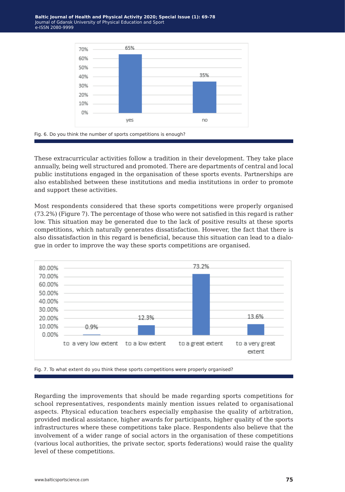



These extracurricular activities follow a tradition in their development. They take place annually, being well structured and promoted. There are departments of central and local public institutions engaged in the organisation of these sports events. Partnerships are also established between these institutions and media institutions in order to promote and support these activities.

Most respondents considered that these sports competitions were properly organised (73.2%) (Figure 7). The percentage of those who were not satisfied in this regard is rather low. This situation may be generated due to the lack of positive results at these sports competitions, which naturally generates dissatisfaction. However, the fact that there is also dissatisfaction in this regard is beneficial, because this situation can lead to a dialogue in order to improve the way these sports competitions are organised.





Regarding the improvements that should be made regarding sports competitions for school representatives, respondents mainly mention issues related to organisational aspects. Physical education teachers especially emphasise the quality of arbitration, provided medical assistance, higher awards for participants, higher quality of the sports infrastructures where these competitions take place. Respondents also believe that the involvement of a wider range of social actors in the organisation of these competitions (various local authorities, the private sector, sports federations) would raise the quality level of these competitions.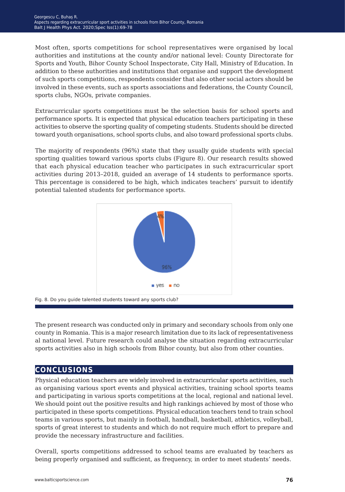Most often, sports competitions for school representatives were organised by local authorities and institutions at the county and/or national level: County Directorate for Sports and Youth, Bihor County School Inspectorate, City Hall, Ministry of Education. In addition to these authorities and institutions that organise and support the development of such sports competitions, respondents consider that also other social actors should be involved in these events, such as sports associations and federations, the County Council, sports clubs, NGOs, private companies.

Extracurricular sports competitions must be the selection basis for school sports and performance sports. It is expected that physical education teachers participating in these activities to observe the sporting quality of competing students. Students should be directed toward youth organisations, school sports clubs, and also toward professional sports clubs.

The majority of respondents (96%) state that they usually guide students with special sporting qualities toward various sports clubs (Figure 8). Our research results showed that each physical education teacher who participates in such extracurricular sport activities during 2013–2018, guided an average of 14 students to performance sports. This percentage is considered to be high, which indicates teachers' pursuit to identify potential talented students for performance sports.



The present research was conducted only in primary and secondary schools from only one county in Romania. This is a major research limitation due to its lack of representativeness al national level. Future research could analyse the situation regarding extracurricular sports activities also in high schools from Bihor county, but also from other counties.

## **conclusions**

Physical education teachers are widely involved in extracurricular sports activities, such as organising various sport events and physical activities, training school sports teams and participating in various sports competitions at the local, regional and national level. We should point out the positive results and high rankings achieved by most of those who participated in these sports competitions. Physical education teachers tend to train school teams in various sports, but mainly in football, handball, basketball, athletics, volleyball, sports of great interest to students and which do not require much effort to prepare and provide the necessary infrastructure and facilities.

Overall, sports competitions addressed to school teams are evaluated by teachers as being properly organised and sufficient, as frequency, in order to meet students' needs.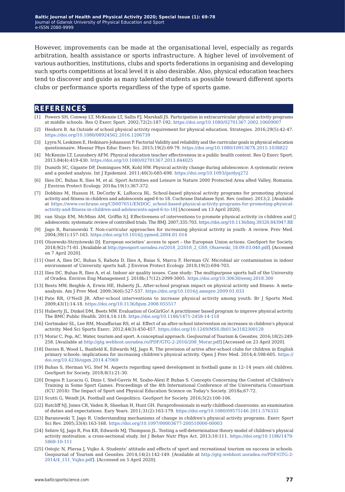However, improvements can be made at the organisational level, especially as regards arbitration, health assistance or sports infrastructure. A higher level of involvement of various authorities, institutions, clubs and sports federations in organising and developing such sports competitions at local level it is also desirable. Also, physical education teachers tend to discover and guide as many talented students as possible toward different sports clubs or performance sports regardless of the type of sports game.

## **references**

- [1] Powers SH, Conway LT, McKenzie LT, Sallis FJ, Marshall JS. Participation in extracurricular physical activity programs at middle schools. Res Q Exerc Sport. 2002;72(2):187-192. [https://doi.org/10.1080/02701367.2002.10609007](https://doi.org/10.1080/02701367.2002.10609007 )
- [2] Heidorn B. An Outside of school physical activity requirement for physical education. Strategies. 2016;29(5):42-47. <https://doi.org/10.1080/08924562.2016.1206739>
- [3] Lyyra N, Leskinen E, Heikinaro-Johansson P. Factorial Validity and reliability and the curricular goals in physical education questionnaire. Measur Phys Educ Exerc Sci. 2015;19(2):69-79. [https://doi.org/10.1080/1091367X.2015.1038822](https://doi.org/10.1080/1091367X.2015.1038822 )
- [4] McKenzie LT, Lounsbery AFM. Physical education teacher effectiveness in a public health context. Res Q Exerc Sport. 2013;84(4):419-430. <https://doi.org/10.1080/02701367.2013.844025>
- [5] Dumith SC, Gigante DP, Domingues MR, Kohl HW. Physical activity change during adolescence: A systematic review and a pooled analysis. Int J Epidemiol. 2011;40(3):685-698. <https://doi.org/10.1093/ije/dyq272>
- [6] Ilies DC, Buhas R, Ilies M, et al. Sport Activities and Leisure in Nature 2000 Protected Area aRed Valley, Romania. J Environ Protect Ecology. 2018a;19(1):367-372.
- [7] Dobbins M, Husson H, DeCorby K, LaRocca RL. School-based physical activity programs for promoting physical activity and fitness in children and adolescents aged 6 to 18. Cochrane Database Syst. Rev. (online). 2013;2. [Available at [https://www.cochrane.org/CD007651/ENDOC\\_school-based-physical-activity-programs-for-promoting-physical](https://www.cochrane.org/CD007651/ENDOC_school-based-physical-activity-programs-for-promoting-physic)[activity-and-fitness-in-children-and-adolescents-aged-6-to-18\]](https://www.cochrane.org/CD007651/ENDOC_school-based-physical-activity-programs-for-promoting-physic) [Accessed on 13 April 2020].
- [8] van Sluijs EM, McMinn AM, Griffin SJ. Effectiveness of interventions to promote physical activity in children and  $\Box$ adolescents: systematic review of controlled trials. The BMJ. 2007;335:703.<https://doi.org/10.1136/bmj.39320.843947.BE>
- [9] Jago R, Baranowski T. Non-curricular approaches for increasing physical activity in youth: A review. Prev Med. 2004;39(1):157-163. <https://doi.org/10.1016/j.ypmed.2004.01.014>
- [10] Olszewski-Strzyżowski DJ. European societies' access to sport the European Union actions. GeoSport for Society. 2018;9(2):71-81. [Available at [http://geosport.uoradea.ro/2018\\_2/2018\\_2\\_GSS\\_Olszewski\\_18.09.03.040.pdf](http://geosport.uoradea.ro/2018_2/2018_2_GSS_Olszewski_18.09.03.040.pdf)]. [Accessed on 7 April 2020].
- [11] Onet A, Ilies DC, Buhas S, Rahota D, Ilies A, Baias S, Marcu F, Herman GV. Microbial air contamination in indoor environment of University sports hall. J Environ Protect Ecology. 2018;19(2):694-703.
- [12] Ilies DC, Buhas R, Ilies A, et al. Indoor air quality issues. Case study: The multipurpose sports hall of the University of Oradea. Environ Eng Management J. 2018b;17(12):2999-3005. <https://doi.org/10.30638/eemj.2018.300>
- [13] Beets MW, Beighle A, Erwin HE, Huberty JL. After-school program impact on physical activity and fitness: A metaanalysis. Am J Prev Med. 2009;36(6):527-537.<https://doi.org/10.1016/j.amepre.2009.01.033>
- [14] Pate RR, O'Neill JR. After-school interventions to increase physical activity among youth. Br J Sports Med. 2009;43(1):14-18. <https://doi.org/10.1136/bjsm.2008.055517>
- [15] Huberty JL, Dinkel DM, Beets MW. Evaluation of GoGirlGo! A practitioner based program to improve physical activity. The BMC Public Health. 2014;14:118. <https://doi.org/10.1186/1471-2458-14-118>
- [16] Gortmaker SL, Lee RM, Mozaffarian RS, et al. Effect of an after-school intervention on increases in children's physical activity. Med Sci Sports Exerc. 2012;44(3):450-457. [https://doi.org/10.1249/MSS.0b013e3182300128](https://doi.org/10.1249/MSS.0b013e3182300128 )
- [17] Morar C, Pop, AC. Water, tourism and sport. A conceptual approach. GeoJournal of Tourism & Geosites. 2016;18(2):249- 258. [Available at [http://gtg.webhost.uoradea.ro/PDF/GTG-2-2016/208\\_Morar.pdf\]](http://gtg.webhost.uoradea.ro/PDF/GTG-2-2016/208_Morar.pdf) [Accessed on 23 April 2020].
- [18] Davies B, Wood L, Banfield K, Edwards MJ, Jago R. The provision of active after-school clubs for children in English primary schools: implications for increasing children's physical activity. Open J Prev Med. 2014;4:598-605. [https://](https://doi.org/10.4236/ojpm.2014.47069 ) [doi.org/10.4236/ojpm.2014.47069](https://doi.org/10.4236/ojpm.2014.47069 )
- [19] Buhas S, Herman VG, Stef M. Aspects regarding speed development in football game in 12–14 years old children. GeoSport for Society. 2018;8(1):21-30.
- [20] Dragos P, Lucaciu G, Dinis I, Stef-Gavris M, Szabo-Alexi P, Buhas S. Concepts Concerning the Content of Children's Training in Some Sport Games. Proceedings of the 4th International Conference of the Universitaria Consortium (ICU 2018): The Impact of Sport and Physical Education Science on Today's Society. 2018a;67-72.
- [21] Scutti G, Wendt JA. Football and Geopolitics. GeoSport for Society. 2016;5(2):100-106.
- [22] Ratcliff NJ, Jones CR, Vaden R, Sheehan H, Hunt GH. Paraprofessionals in early childhood classrooms: an examination of duties and expectations. Eary Years. 2011;31(2):163-179. [https://doi.org/10.1080/09575146.2011.576333](https://doi.org/10.1080/09575146.2011.576333 )
- [23] Baranowski T, Jago R. Understanding mechanisms of change in children's physical activity programs. Exerc Sport Sci Rev. 2005;33(4):163-168. <https://doi.org/10.1097/00003677-200510000-00003>
- [24] Sebire SJ, Jago R, Fox KR, Edwards MJ, Thompson JL. Testing a self-determination theory model of children's physical activity motivation: a cross-sectional study. Int J Behav Nutr Phys Act. 2013;10:111. [https://doi.org/10.1186/1479-](https://doi.org/10.1186/1479-5868-10-111 ) [5868-10-111](https://doi.org/10.1186/1479-5868-10-111 )
- [25] Ostojic N, Plavsa J, Vujko A. Students' attitude and effects of sport and recreational tourism on success in schools. Geojournal of Tourism and Geosites. 2014;14(2):142-149. [Available at [http://gtg.webhost.uoradea.ro/PDF/GTG-2-](http://gtg.webhost.uoradea.ro/PDF/GTG-2-2014/4_151_Vujko.pdf) [2014/4\\_151\\_Vujko.pdf](http://gtg.webhost.uoradea.ro/PDF/GTG-2-2014/4_151_Vujko.pdf)]. [Accessed on 5 April 2020].